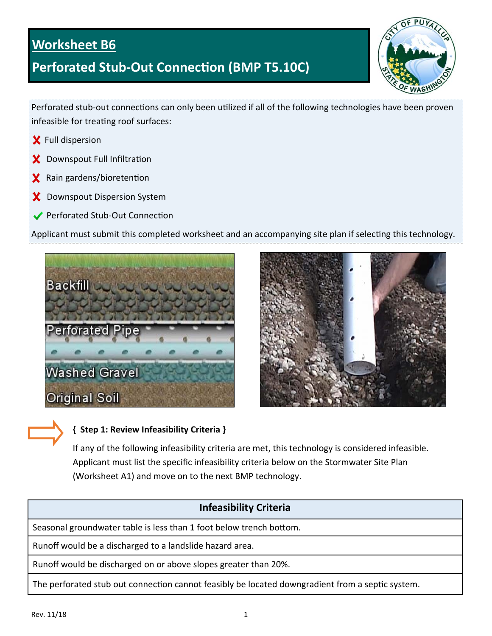## **Worksheet B6**

# **Perforated Stub-Out Connection (BMP T5.10C)**



Perforated stub-out connections can only been utilized if all of the following technologies have been proven infeasible for treating roof surfaces:

- Full dispersion
- Downspout Full Infiltration X.
- $x$  Rain gardens/bioretention
- Downspout Dispersion System x
- ◆ Perforated Stub-Out Connection

Applicant must submit this completed worksheet and an accompanying site plan if selecting this technology.





### **{ Step 1: Review Infeasibility Criteria }**

If any of the following infeasibility criteria are met, this technology is considered infeasible. Applicant must list the specific infeasibility criteria below on the Stormwater Site Plan (Worksheet A1) and move on to the next BMP technology.

## **Infeasibility Criteria**

Seasonal groundwater table is less than 1 foot below trench bottom.

Runoff would be a discharged to a landslide hazard area.

Runoff would be discharged on or above slopes greater than 20%.

The perforated stub out connection cannot feasibly be located downgradient from a septic system.